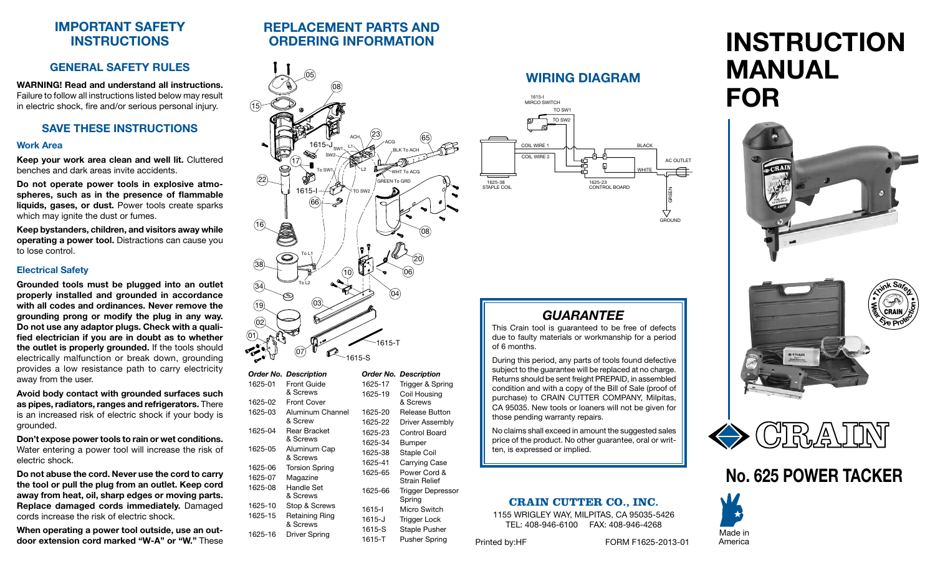# **IMPORTANT SAFETY INSTRUCTIONS**

# **GENERAL SAFETY RULES**

**WARNING! Read and understand all instructions.**  Failure to follow all instructions listed below may result in electric shock, fire and/or serious personal injury.

#### **SAVE THESE INSTRUCTIONS**

#### **Work Area**

**Keep your work area clean and well lit.** Cluttered benches and dark areas invite accidents.

**Do not operate power tools in explosive atmospheres, such as in the presence of flammable liquids, gases, or dust.** Power tools create sparks which may ignite the dust or fumes.

**Keep bystanders, children, and visitors away while operating a power tool.** Distractions can cause you to lose control.

#### **Electrical Safety**

**Grounded tools must be plugged into an outlet properly installed and grounded in accordance with all codes and ordinances. Never remove the grounding prong or modify the plug in any way. Do not use any adaptor plugs. Check with a qualified electrician if you are in doubt as to whether the outlet is properly grounded.** If the tools should electrically malfunction or break down, grounding provides a low resistance path to carry electricity away from the user.

**Avoid body contact with grounded surfaces such as pipes, radiators, ranges and refrigerators.** There is an increased risk of electric shock if your body is grounded.

**Don't expose power tools to rain or wet conditions.**  Water entering a power tool will increase the risk of electric shock.

**Do not abuse the cord. Never use the cord to carry the tool or pull the plug from an outlet. Keep cord away from heat, oil, sharp edges or moving parts. Replace damaged cords immediately.** Damaged cords increase the risk of electric shock.

**When operating a power tool outside, use an outdoor extension cord marked "W-A" or "W."** These

# **REPLACEMENT PARTS AND ORDERING INFORMATION**



|         | <b>Order No. Description</b> |         | <b>Order No. Description</b>       |
|---------|------------------------------|---------|------------------------------------|
| 1625-01 | Front Guide                  | 1625-17 | Trigger & Spring                   |
|         | & Screws                     | 1625-19 | Coil Housing                       |
| 1625-02 | <b>Front Cover</b>           |         | & Screws                           |
| 1625-03 | Aluminum Channel             | 1625-20 | Release Button                     |
|         | & Screw                      | 1625-22 | Driver Assembly                    |
| 1625-04 | Rear Bracket                 | 1625-23 | Control Board                      |
|         | & Screws                     | 1625-34 | <b>Bumper</b>                      |
| 1625-05 | Aluminum Cap<br>& Screws     | 1625-38 | Staple Coil                        |
|         |                              | 1625-41 | <b>Carrying Case</b>               |
| 1625-06 | <b>Torsion Spring</b>        | 1625-65 | Power Cord &                       |
| 1625-07 | Magazine                     |         | <b>Strain Relief</b>               |
| 1625-08 | Handle Set<br>& Screws       | 1625-66 | <b>Trigger Depressor</b><br>Spring |
| 1625-10 | Stop & Screws                | 1615-l  | Micro Switch                       |
| 1625-15 | Retaining Ring               | 1615-J  | Trigger Lock                       |
|         | & Screws                     | 1615-S  | Staple Pusher                      |
| 1625-16 | Driver Spring                | 1615-T  | <b>Pusher Spring</b>               |

# **WIRING DIAGRAM**



# *guarantee*

This Crain tool is guaranteed to be free of defects due to faulty materials or workmanship for a period of 6 months.

During this period, any parts of tools found defective subject to the guarantee will be replaced at no charge. Returns should be sent freight PREPAID, in assembled condition and with a copy of the Bill of Sale (proof of purchase) to CRAIN CUTTER COMPANY, Milpitas, CA 95035. New tools or loaners will not be given for those pending warranty repairs.

No claims shall exceed in amount the suggested sales price of the product. No other guarantee, oral or written, is expressed or implied.

# **CRAIN CUTTER CO., INC.**

1155 WRIGLEY WAY, MILPITAS, CA 95035-5426 TEL: 408-946-6100 FAX: 408-946-4268

#### Printed by:HF FORM F1625-2013-01

GROUND

# **INSTRUCTION MANUAL FOR**







# **No. 625 POWER TACKER**